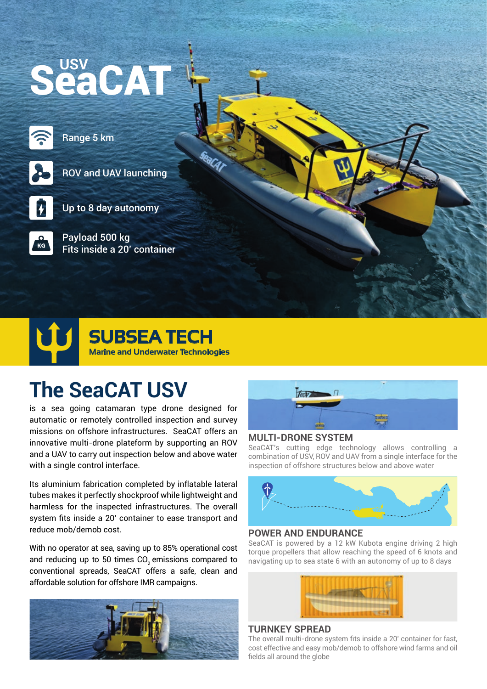# SeaCAT

Range 5 km



ROV and UAV launching



Up to 8 day autonomy

Payload 500 kg Fits inside a 20' container

## **Marine and Underwater Technologies SUBSEA TECH**

## **The SeaCAT USV**

is a sea going catamaran type drone designed for automatic or remotely controlled inspection and survey missions on offshore infrastructures. SeaCAT offers an innovative multi-drone plateform by supporting an ROV and a UAV to carry out inspection below and above water with a single control interface.

Its aluminium fabrication completed by inflatable lateral tubes makes it perfectly shockproof while lightweight and harmless for the inspected infrastructures. The overall system fits inside a 20' container to ease transport and reduce mob/demob cost.

With no operator at sea, saving up to 85% operational cost and reducing up to 50 times CO<sub>2</sub> emissions compared to conventional spreads, SeaCAT offers a safe, clean and affordable solution for offshore IMR campaigns.





#### **MULTI-DRONE SYSTEM**

SeaCAT's cutting edge technology allows controlling a combination of USV, ROV and UAV from a single interface for the inspection of offshore structures below and above water



#### **POWER AND ENDURANCE**

SeaCAT is powered by a 12 kW Kubota engine driving 2 high torque propellers that allow reaching the speed of 6 knots and navigating up to sea state 6 with an autonomy of up to 8 days



#### **TURNKEY SPREAD**

The overall multi-drone system fits inside a 20' container for fast, cost effective and easy mob/demob to offshore wind farms and oil fields all around the globe